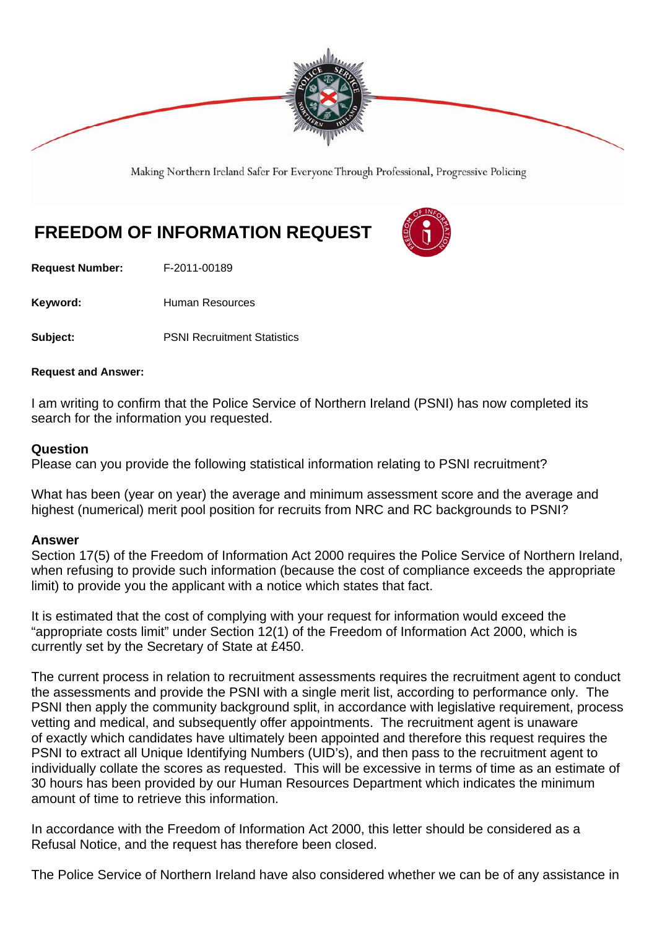

Making Northern Ireland Safer For Everyone Through Professional, Progressive Policing

## **FREEDOM OF INFORMATION REQUEST**

**Request Number:** F-2011-00189

Keyword: **Human Resources** 

**Subject:** PSNI Recruitment Statistics

## **Request and Answer:**

I am writing to confirm that the Police Service of Northern Ireland (PSNI) has now completed its search for the information you requested.

## **Question**

Please can you provide the following statistical information relating to PSNI recruitment?

What has been (year on year) the average and minimum assessment score and the average and highest (numerical) merit pool position for recruits from NRC and RC backgrounds to PSNI?

## **Answer**

Section 17(5) of the Freedom of Information Act 2000 requires the Police Service of Northern Ireland, when refusing to provide such information (because the cost of compliance exceeds the appropriate limit) to provide you the applicant with a notice which states that fact.

It is estimated that the cost of complying with your request for information would exceed the "appropriate costs limit" under Section 12(1) of the Freedom of Information Act 2000, which is currently set by the Secretary of State at £450.

The current process in relation to recruitment assessments requires the recruitment agent to conduct the assessments and provide the PSNI with a single merit list, according to performance only. The PSNI then apply the community background split, in accordance with legislative requirement, process vetting and medical, and subsequently offer appointments. The recruitment agent is unaware of exactly which candidates have ultimately been appointed and therefore this request requires the PSNI to extract all Unique Identifying Numbers (UID's), and then pass to the recruitment agent to individually collate the scores as requested. This will be excessive in terms of time as an estimate of 30 hours has been provided by our Human Resources Department which indicates the minimum amount of time to retrieve this information.

In accordance with the Freedom of Information Act 2000, this letter should be considered as a Refusal Notice, and the request has therefore been closed.

The Police Service of Northern Ireland have also considered whether we can be of any assistance in